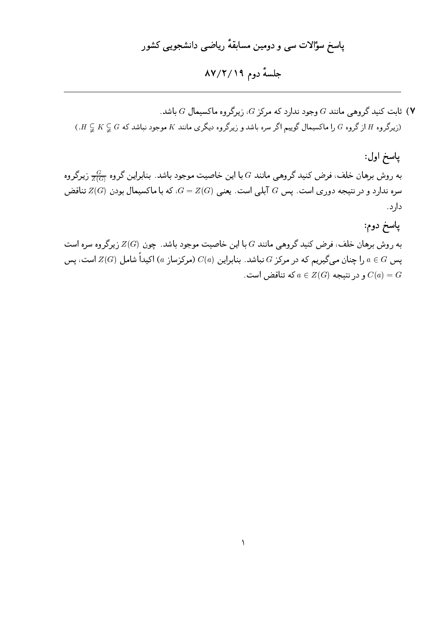## جلسة دوم ١٩/٢/١٩

ا ثابت کنید گروهی مانند G وجود ندارد که مرکز G، زیرگروه ماکسیمال G باشد (۲  $(H\subsetneq K\subsetneq G$  از گروه  $G$  را ماکسیمال گوییم اگر سره باشد و زیرگروه دیگری مانند  $K$  موجود نباشد که  $G\subsetneq K\subsetneq H$ .)

پاسخ اول: به روش برهان خلف، فرض کنید گروهی مانند  $G$  با این خاصیت موجود باشد. بنابراین گروه  $\frac{G}{Z(G)}$  زیرگروه سره ندارد و در نتیجه دوری است. پس G آبلبی است. یعنبی  $Z(G)$ ، که با ماکسیمال بودن  $Z(G)$  تناقض دارد.

پاسخ دوم: به روش برهان خلف، فرض کنید گروهی مانند  $G$  با این خاصیت موجود باشد. چون  $Z(G)$  زیرگروه سره است پس  $G$  ی را چنان میگیریم که در مرکز  $G$  نباشد. بنابراین  $C(a)$  (مرکزساز  $a$ ) اکیداً شامل  $Z(G)$  است، پس و در نتیجه  $a\in Z(G)$  که تناقض است .  $C(a)=G$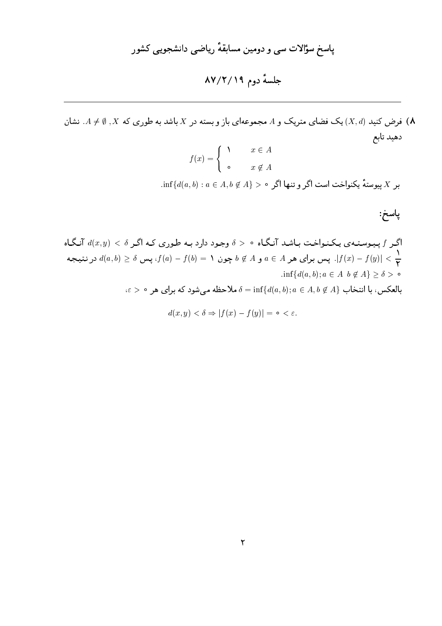فرض کنید  $(X,d)$ ) یک فضای متریک و A مجموعهای باز و بسته در  $X$  باشد به طوری که  $X$  ,  $\emptyset \neq A$ . نشان ( $\bigwedge$ دهيد تابع

$$
f(x) = \begin{cases} 0 & x \in A \\ 0 & x \notin A \end{cases}
$$

 $\inf\{d(a,b):a\in A, b\not\in A\}>0$  بر X پیوستهٔ یکنواخت است اگر و تنها اگر ه

پاسخ:

اگر ۴ پیوستهی یکنواخت باشد آنگاه ۵ > ۵ وجود دارد به طوری که اگر ۵ 
$$
d(x, y) < \delta
$$
 پس ۲(α, b) کی ۲  
\n
$$
d(a, b) \geq \delta
$$
 پس برای هر  $A \neq a \in A$  پون ۱ = (۶) – (۱۱) یس ۵ (α, b)  $\geq \delta$  ۱. یتیجه  
\n
$$
\inf\{d(a, b); a \in A \mid b \notin A\} \geq \delta > \circ
$$
\n
$$
\delta = \inf\{d(a, b); a \in A, b \notin A\}
$$

$$
d(x, y) < \delta \Rightarrow |f(x) - f(y)| = \circ < \varepsilon.
$$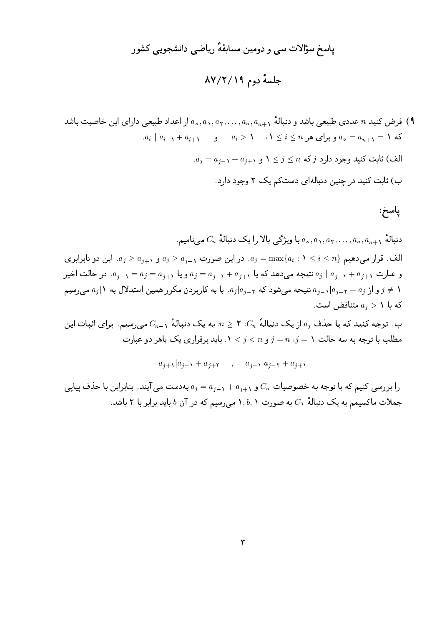#### جلسة دوم ٨٧/٢/١٩

- فرض کنید n عددی طبیعی باشد و دنبالهٔ  $a_1, a_1, \ldots, a_n, a_{n+1}$  از اعداد طبیعی دارای این خاصیت باشد (۹  $a_i \mid a_{i-1} + a_{i+1}$  که  $a_i \mid a_{i-1} + a_{i+1}$  و برای هر  $i \leq i \leq n$  د  $a_n = a_{n+1} = 1$  $a_j = a_{j-1} + a_{j+1}$  الف) ثابت کنید وجود دارد  $j \leq n \leq j \leq n$  و  $a_j = a_{j-1} + a_{j+1}$ 
	- ب) ثابت کنید در چنین دنبالهای دستکم یک ۲ وجود دارد.

پاسخ:

. دنبالهٔ  $C_n$  می نامیم $a_0, a_1, a_2, a_3, a_4, \ldots, a_n, a_{n+1}$  می نامیم الف. قرار می دهیم  $i \leq i \leq n$  : ۱ $i \leq i \leq n$ . در این صورت  $a_{i-1} \geq a_{i-1}$  و  $a_{i+1} \geq a_{i+1}$ . این دو نابرابری و عبارت  $a_{i+1} + a_{i+1}$  نتیجه می دهد که یا  $a_{i+1} + a_{i+1} = a_i = a_{i+1}$  و یا  $a_{i+1} = a_{i+1} = a_{i+1}$ . در حالت اخیر و از  $a_{j-1}$  تیب هیشود که  $a_{j-1}$ ، با به کاربردن مکرر همین استدلال به ۱ ا $a_{j}$  میرسیم  $j \neq 1$ که یا  $a_i > 0$  متناقض است.

ب. توجه کنید که با حذف  $a_j$  از یک دنبالهٔ  $C_n$ ، ۲  $n\geq n$ ، به یک دنبالهٔ ۱٫۵۰ میرسیم. برای اثبات این مطلب با توجه به سه حالت ۱ $n \neq j = n \cdot j = 1 \times j < j < n$  باید برقراری یک یاهر دو عبارت

$$
a_{j+1}|a_{j-1} + a_{j+1}, \quad a_{j-1}|a_{j-1} + a_{j+1}
$$

را بر رسی کنیم که با توجه به خصوصیات  $C_n$  و  $a_{j-1}+a_{j+1}$  به دست می آیند. بنابراین با حذف پیایی جملات ماکسیمم به یک دنبالهٔ  $C_1$  به صورت ۱٫b٫۱ میرسیم که در آن  $b$  باید برابر با ۲ باشد.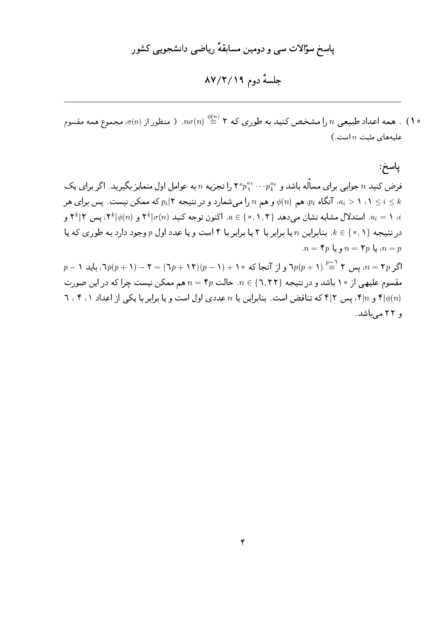جلسة دوم ٨٧/٢/١٩

ه ۱) . همه اعداد طبیعی n را مشخص کنید به طوری که ۲ $\sigma(n) \stackrel{\phi(n)}{\equiv} \in \pi$ . ( منظور از  $\sigma(n)$ ، مجموع همه مقسوم  $\left( .\right.$ علیههای مثبت  $n$  است

پاسخ: فرض کنید  $n$  جوابی برای مسأله باشد و  $p^{a,\,\cdot\,\cdot}_{k}$ ۲۰۰ را تجزیه  $n$  به عوامل اول متمایز بگیرید. اگر برای یک ه ای تنگاه  $p_i$ ، هم  $\phi(n)$  و هم  $n$  را میشمارد و در نتیجه ۲ | $p_i$  که ممکن نیست. پس برای هر  $a_i > 1$  (  $i \leq k$ ، د $a_i = a_i$ . استدلال مشابه نشان می دهد  $\{ \circ, \Lambda, \mathsf{Y} \}$ . اکنون توجه کنید (۲ $\sigma(n)$  و (۲ $\mathsf{k} | \phi(n)$ ، پس ۲ $a_i = \Lambda$  و در نتیجه  $k \in \{ \circ, 1 \}$ . بنابراین n یا برابر با ۲ یا برابر با ۴ است و یا عدد اول p وجود دارد به طوری که یا  $n = \mathfrak{k} p \downarrow n = \mathfrak{k} p$  و یا  $n = p$ 

 $p-1$  اگر  $p$  ۲ = ۲ $p$ ، یس ۲  $\overset{p-1}{\equiv} (p+1) p (p-1) + (p-1) p (p-1)$  و از آنجا که ۱۰ $p(p+1) = 7 - (p+1) p (p-1)$ ، باید ۱ مقسوم علیهی از ۱۰ باشد و در نتیجه {۲,۲۲}  $n \in \mathbb{F}$ . حالت  $n = \mathfrak{p}$  هم ممکن نیست چرا که در این صورت ۳ و ۴ $\vert n \vert$ ، پس ۲ که تناقض است. بنابراین یا  $n$  عددی اول است و یا برابر با یکی از اعداد ۱، ۲ ، ۲ و ۲۲ مرباشد.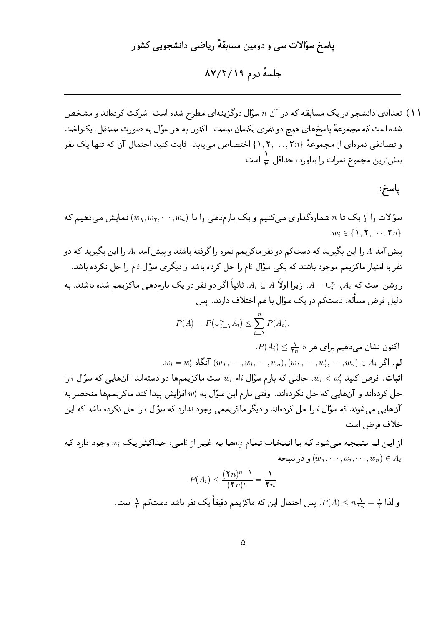جلسهٔ دوم ۸۷/۲/۱۹

۱۱) تعدادی دانشجو در یک مسابقه که در آن n سؤال دوگزینهای مطرح شده است، شرکت کردهاند و مشخص شده است که مجموعهٔ پاسخهای هیچ دو نفری یکسان نیست. اکنون به هر سؤال به صورت مستقل، یکنواخت و تصادفی نمرهای از مجموعهٔ {۲٫۲,...,۲n} اختصاص می یابد. ثابت کنید احتمال آن که تنها یک نفر بیشترین مجموع نمرات را بیاورد، حداقل <mark>ب</mark> است.

پاسخ:

سؤالات را از یک تا n شمارهگذاری مییکنیم و یک بارمدهیی را با  $(w_1, w_1, \cdots, w_n)$  نمایش میدهیم که  $w_i \in \{1, 7, \cdots, 7n\}$ 

پیش آمد A را این بگیرید که دستکم دو نفر ماکزیمم نمره را گرفته باشند و پیش آمد  $A_i$  را این بگیرید که دو نفر با امتیاز ماکزیمم موجود باشند که یک<sub>ی</sub> سؤال iام را حل کرده باشد و دیگری سؤال iام را حل نکرده باشد. روشن است که  $A_i\subset \cup_{i=1}^n A_i$ . زیرا اولاً  $A_i\subseteq A$ ، ثانیاً اگر دو نفر در یک بارمدهی ماکزیمم شده باشند، به دلیل فرض مسأله، دستکم در یک سؤال با هم اختلاف دارند. پس

$$
P(A) = P(\cup_{i=1}^n A_i) \le \sum_{i=1}^n P(A_i).
$$

 $P(A_i) \leq \frac{1}{2}$ اکنون نشان می دهیم برای هر  $i$ ،  $\frac{1}{2}$  $w_i = w'_i$  لم. اگر  $(w_1, \dots, w_i, \dots, w_n), (w_1, \dots, w'_i, \dots, w_n) \in A_i$  آنگاه

اثبات. فرض کنید  $w_i < w_i < w_i$ . حالتبی که بارم سؤال  $w_i$ ا است ماکزیمهها دو دستهاند؛ آنهایبی که سؤال  $i$  را حل کردهاند و آنهایی که حل نکردهاند. وقتی بارم این سؤال به  $w_i$  افزایش پیدا کند ماکزیممها منحصر به آنهایی می شوند که سؤال ، را حل کردهاند و دیگر ماکزیممی وجود ندارد که سؤال ، را حل نکرده باشد که این خلاف فرض است.

از این لیم نتیجه می شود که با انتخاب تمام  $w_i$ ها به غیر از  $i$ می، حداکثر یک $v_i$  وجود دارد که و در نتيجه  $(w_1, \cdots, w_i, \cdots, w_n) \in A_i$ 

$$
P(A_i) \le \frac{(\Upsilon n)^{n-1}}{(\Upsilon n)^n} = \frac{1}{\Upsilon n}
$$
  
و لذا  $\frac{1}{\Upsilon} = \frac{1}{\Upsilon n} \Rightarrow P(A) \le n \frac{1}{\Upsilon n} = \frac{1}{\Upsilon}$  و لذا  $\frac{1}{\Upsilon} = \frac{1}{\Upsilon n} = \frac{1}{\Upsilon}$